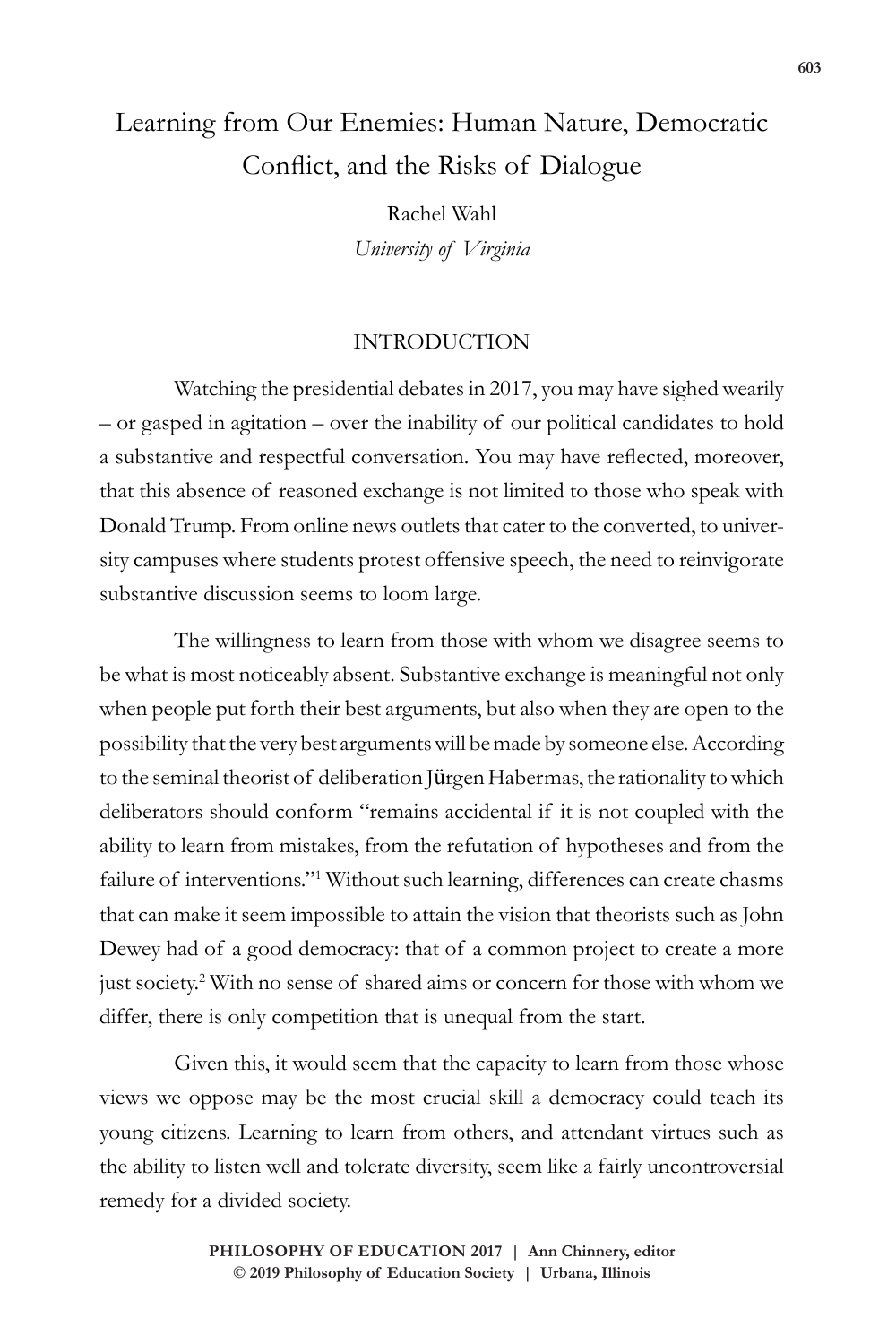# Learning from Our Enemies: Human Nature, Democratic Conflict, and the Risks of Dialogue

Rachel Wahl *University of Virginia*

## INTRODUCTION

Watching the presidential debates in 2017, you may have sighed wearily – or gasped in agitation – over the inability of our political candidates to hold a substantive and respectful conversation. You may have reflected, moreover, that this absence of reasoned exchange is not limited to those who speak with Donald Trump. From online news outlets that cater to the converted, to university campuses where students protest offensive speech, the need to reinvigorate substantive discussion seems to loom large.

The willingness to learn from those with whom we disagree seems to be what is most noticeably absent. Substantive exchange is meaningful not only when people put forth their best arguments, but also when they are open to the possibility that the very best arguments will be made by someone else. According to the seminal theorist of deliberation Jürgen Habermas, the rationality to which deliberators should conform "remains accidental if it is not coupled with the ability to learn from mistakes, from the refutation of hypotheses and from the failure of interventions."<sup>1</sup> Without such learning, differences can create chasms that can make it seem impossible to attain the vision that theorists such as John Dewey had of a good democracy: that of a common project to create a more just society.2 With no sense of shared aims or concern for those with whom we differ, there is only competition that is unequal from the start.

Given this, it would seem that the capacity to learn from those whose views we oppose may be the most crucial skill a democracy could teach its young citizens. Learning to learn from others, and attendant virtues such as the ability to listen well and tolerate diversity, seem like a fairly uncontroversial remedy for a divided society.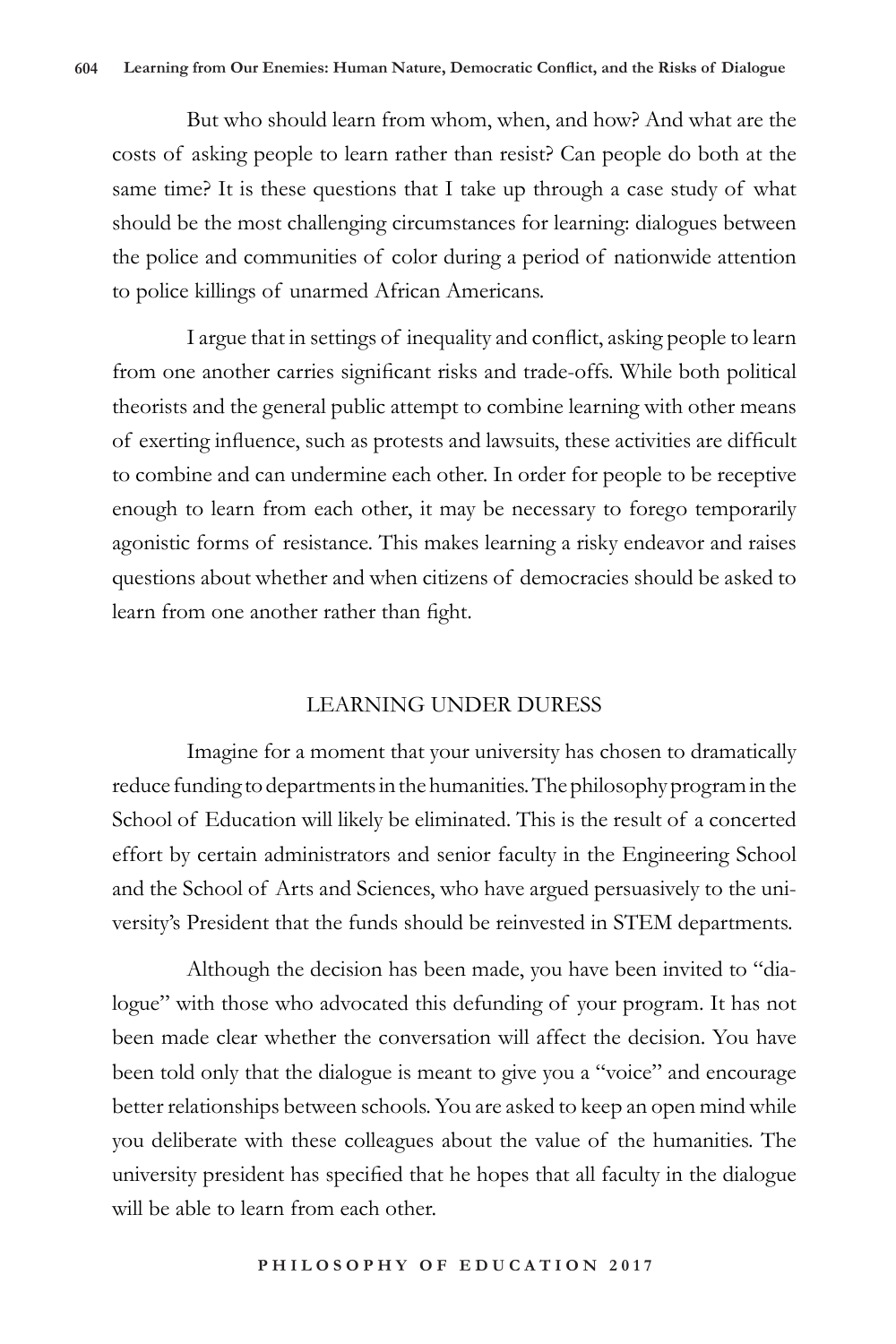But who should learn from whom, when, and how? And what are the costs of asking people to learn rather than resist? Can people do both at the same time? It is these questions that I take up through a case study of what should be the most challenging circumstances for learning: dialogues between the police and communities of color during a period of nationwide attention to police killings of unarmed African Americans.

I argue that in settings of inequality and conflict, asking people to learn from one another carries significant risks and trade-offs. While both political theorists and the general public attempt to combine learning with other means of exerting influence, such as protests and lawsuits, these activities are difficult to combine and can undermine each other. In order for people to be receptive enough to learn from each other, it may be necessary to forego temporarily agonistic forms of resistance. This makes learning a risky endeavor and raises questions about whether and when citizens of democracies should be asked to learn from one another rather than fight.

## LEARNING UNDER DURESS

Imagine for a moment that your university has chosen to dramatically reduce funding to departments in the humanities. The philosophy program in the School of Education will likely be eliminated. This is the result of a concerted effort by certain administrators and senior faculty in the Engineering School and the School of Arts and Sciences, who have argued persuasively to the university's President that the funds should be reinvested in STEM departments.

Although the decision has been made, you have been invited to "dialogue" with those who advocated this defunding of your program. It has not been made clear whether the conversation will affect the decision. You have been told only that the dialogue is meant to give you a "voice" and encourage better relationships between schools. You are asked to keep an open mind while you deliberate with these colleagues about the value of the humanities. The university president has specified that he hopes that all faculty in the dialogue will be able to learn from each other.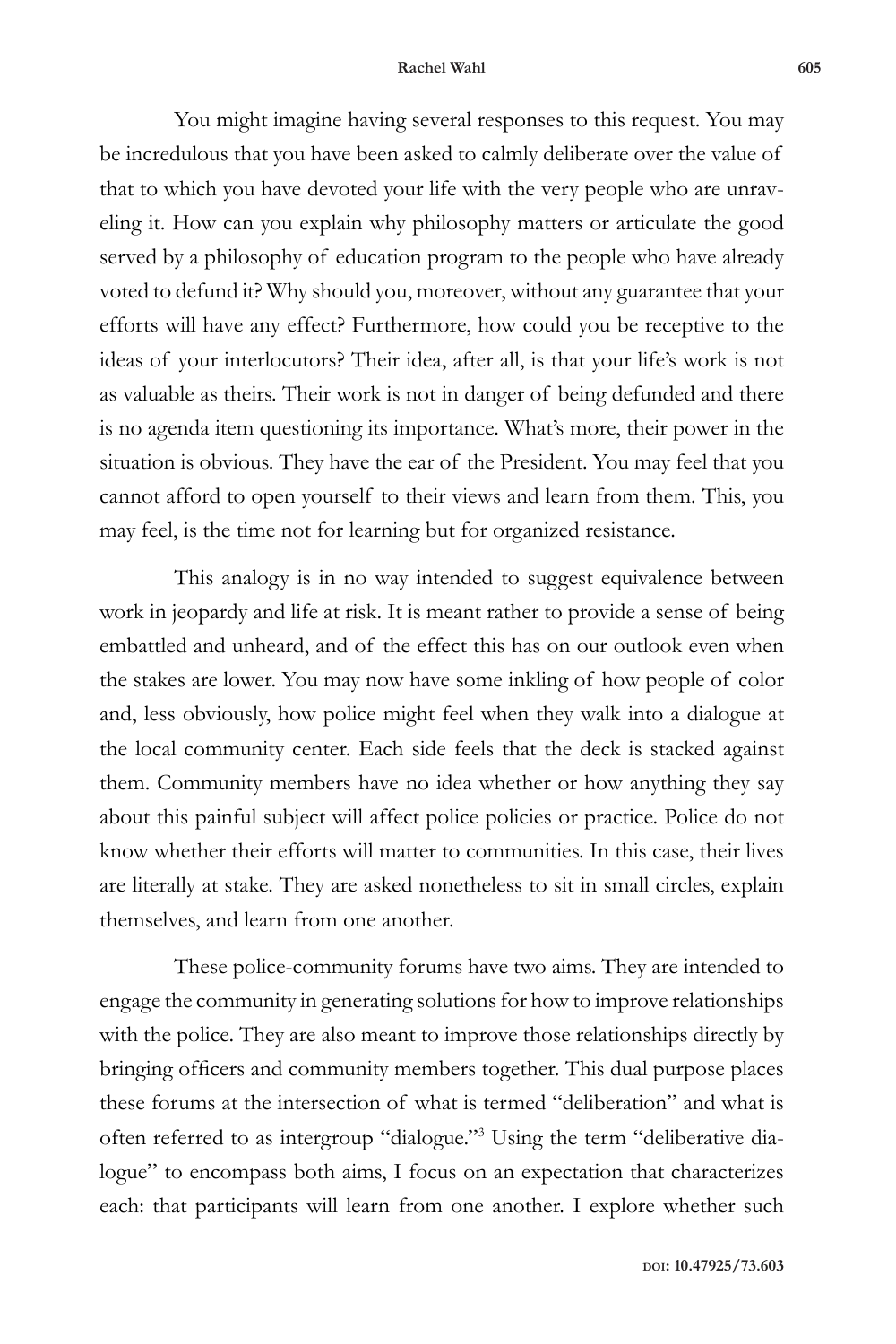#### **Rachel Wahl 605**

You might imagine having several responses to this request. You may be incredulous that you have been asked to calmly deliberate over the value of that to which you have devoted your life with the very people who are unraveling it. How can you explain why philosophy matters or articulate the good served by a philosophy of education program to the people who have already voted to defund it? Why should you, moreover, without any guarantee that your efforts will have any effect? Furthermore, how could you be receptive to the ideas of your interlocutors? Their idea, after all, is that your life's work is not as valuable as theirs. Their work is not in danger of being defunded and there is no agenda item questioning its importance. What's more, their power in the situation is obvious. They have the ear of the President. You may feel that you cannot afford to open yourself to their views and learn from them. This, you may feel, is the time not for learning but for organized resistance.

This analogy is in no way intended to suggest equivalence between work in jeopardy and life at risk. It is meant rather to provide a sense of being embattled and unheard, and of the effect this has on our outlook even when the stakes are lower. You may now have some inkling of how people of color and, less obviously, how police might feel when they walk into a dialogue at the local community center. Each side feels that the deck is stacked against them. Community members have no idea whether or how anything they say about this painful subject will affect police policies or practice. Police do not know whether their efforts will matter to communities. In this case, their lives are literally at stake. They are asked nonetheless to sit in small circles, explain themselves, and learn from one another.

These police-community forums have two aims. They are intended to engage the community in generating solutions for how to improve relationships with the police. They are also meant to improve those relationships directly by bringing officers and community members together. This dual purpose places these forums at the intersection of what is termed "deliberation" and what is often referred to as intergroup "dialogue."<sup>3</sup> Using the term "deliberative dialogue" to encompass both aims, I focus on an expectation that characterizes each: that participants will learn from one another. I explore whether such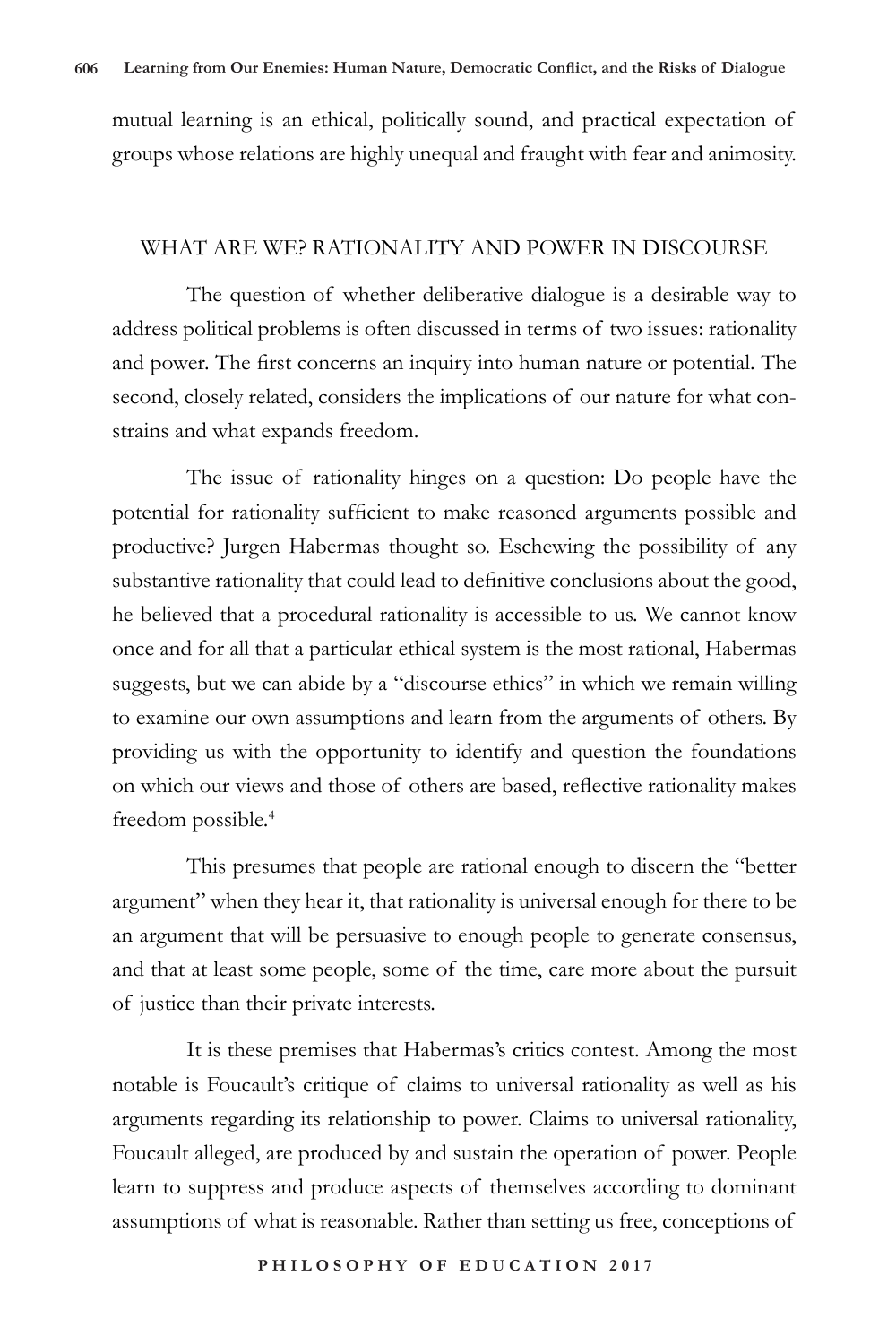mutual learning is an ethical, politically sound, and practical expectation of groups whose relations are highly unequal and fraught with fear and animosity.

## WHAT ARE WE? RATIONALITY AND POWER IN DISCOURSE

The question of whether deliberative dialogue is a desirable way to address political problems is often discussed in terms of two issues: rationality and power. The first concerns an inquiry into human nature or potential. The second, closely related, considers the implications of our nature for what constrains and what expands freedom.

The issue of rationality hinges on a question: Do people have the potential for rationality sufficient to make reasoned arguments possible and productive? Jurgen Habermas thought so. Eschewing the possibility of any substantive rationality that could lead to definitive conclusions about the good, he believed that a procedural rationality is accessible to us. We cannot know once and for all that a particular ethical system is the most rational, Habermas suggests, but we can abide by a "discourse ethics" in which we remain willing to examine our own assumptions and learn from the arguments of others. By providing us with the opportunity to identify and question the foundations on which our views and those of others are based, reflective rationality makes freedom possible.<sup>4</sup>

This presumes that people are rational enough to discern the "better argument" when they hear it, that rationality is universal enough for there to be an argument that will be persuasive to enough people to generate consensus, and that at least some people, some of the time, care more about the pursuit of justice than their private interests.

It is these premises that Habermas's critics contest. Among the most notable is Foucault's critique of claims to universal rationality as well as his arguments regarding its relationship to power. Claims to universal rationality, Foucault alleged, are produced by and sustain the operation of power. People learn to suppress and produce aspects of themselves according to dominant assumptions of what is reasonable. Rather than setting us free, conceptions of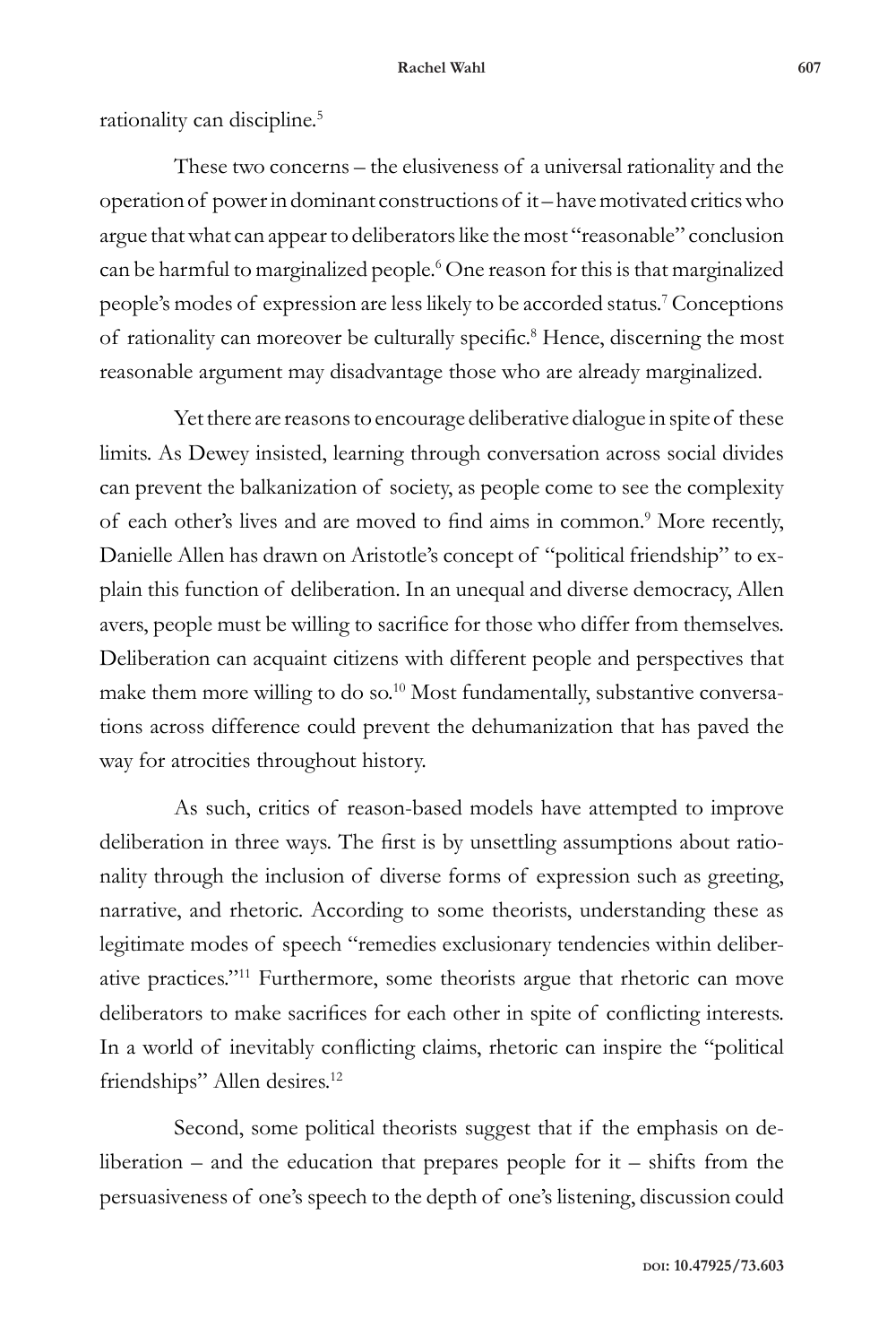rationality can discipline.<sup>5</sup>

These two concerns – the elusiveness of a universal rationality and the operation of power in dominant constructions of it – have motivated critics who argue that what can appear to deliberators like the most "reasonable" conclusion can be harmful to marginalized people.<sup>6</sup> One reason for this is that marginalized people's modes of expression are less likely to be accorded status.7 Conceptions of rationality can moreover be culturally specific.<sup>8</sup> Hence, discerning the most reasonable argument may disadvantage those who are already marginalized.

Yet there are reasons to encourage deliberative dialogue in spite of these limits. As Dewey insisted, learning through conversation across social divides can prevent the balkanization of society, as people come to see the complexity of each other's lives and are moved to find aims in common.<sup>9</sup> More recently, Danielle Allen has drawn on Aristotle's concept of "political friendship" to explain this function of deliberation. In an unequal and diverse democracy, Allen avers, people must be willing to sacrifice for those who differ from themselves. Deliberation can acquaint citizens with different people and perspectives that make them more willing to do so.<sup>10</sup> Most fundamentally, substantive conversations across difference could prevent the dehumanization that has paved the way for atrocities throughout history.

As such, critics of reason-based models have attempted to improve deliberation in three ways. The first is by unsettling assumptions about rationality through the inclusion of diverse forms of expression such as greeting, narrative, and rhetoric. According to some theorists, understanding these as legitimate modes of speech "remedies exclusionary tendencies within deliberative practices."11 Furthermore, some theorists argue that rhetoric can move deliberators to make sacrifices for each other in spite of conflicting interests. In a world of inevitably conflicting claims, rhetoric can inspire the "political friendships" Allen desires.<sup>12</sup>

Second, some political theorists suggest that if the emphasis on deliberation – and the education that prepares people for  $it$  – shifts from the persuasiveness of one's speech to the depth of one's listening, discussion could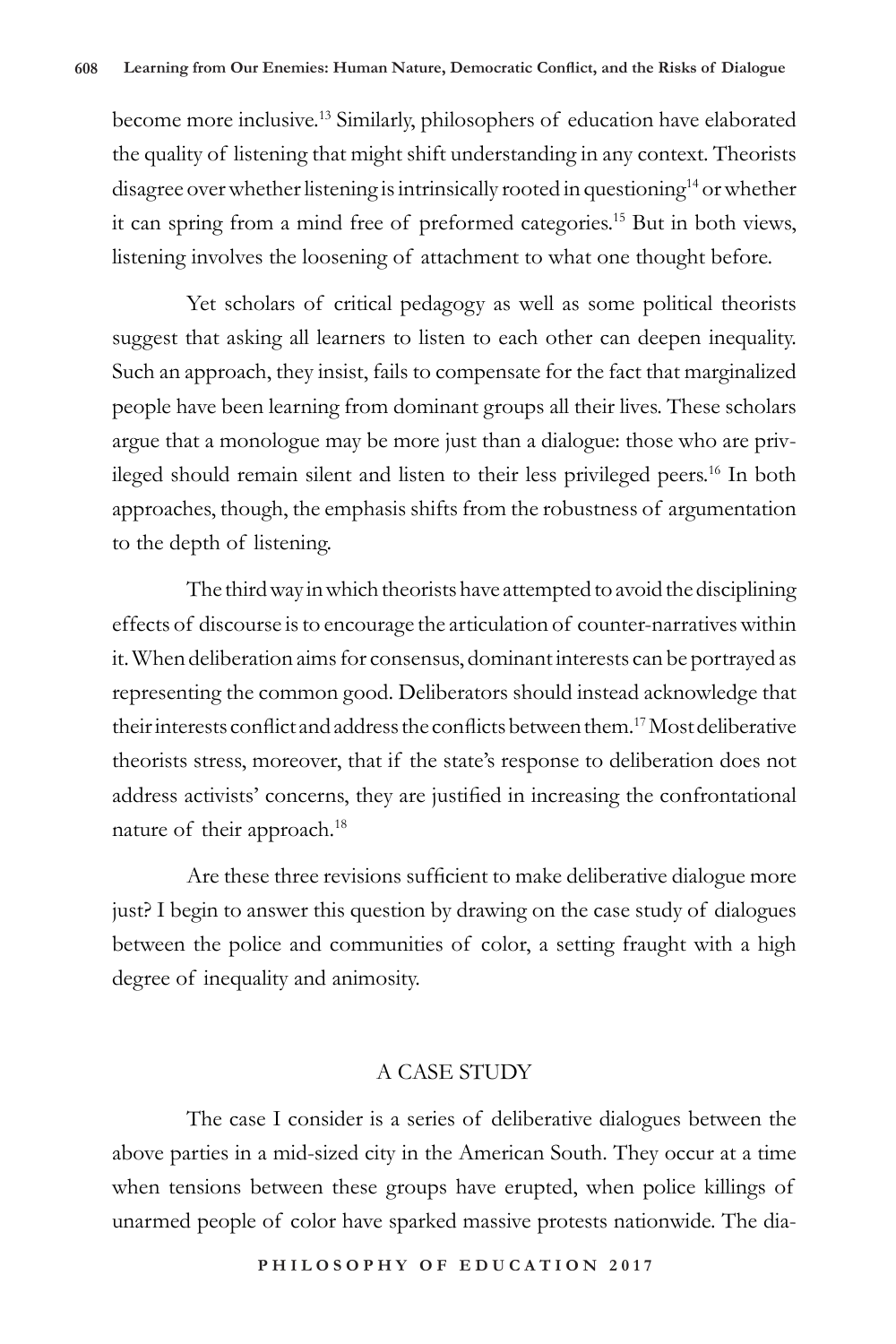become more inclusive.13 Similarly, philosophers of education have elaborated the quality of listening that might shift understanding in any context. Theorists disagree over whether listening is intrinsically rooted in questioning<sup>14</sup> or whether it can spring from a mind free of preformed categories.15 But in both views, listening involves the loosening of attachment to what one thought before.

Yet scholars of critical pedagogy as well as some political theorists suggest that asking all learners to listen to each other can deepen inequality. Such an approach, they insist, fails to compensate for the fact that marginalized people have been learning from dominant groups all their lives. These scholars argue that a monologue may be more just than a dialogue: those who are privileged should remain silent and listen to their less privileged peers.<sup>16</sup> In both approaches, though, the emphasis shifts from the robustness of argumentation to the depth of listening.

The third way in which theorists have attempted to avoid the disciplining effects of discourse is to encourage the articulation of counter-narratives within it. When deliberation aims for consensus, dominant interests can be portrayed as representing the common good. Deliberators should instead acknowledge that their interests conflict and address the conflicts between them.17 Most deliberative theorists stress, moreover, that if the state's response to deliberation does not address activists' concerns, they are justified in increasing the confrontational nature of their approach.<sup>18</sup>

Are these three revisions sufficient to make deliberative dialogue more just? I begin to answer this question by drawing on the case study of dialogues between the police and communities of color, a setting fraught with a high degree of inequality and animosity.

# A CASE STUDY

The case I consider is a series of deliberative dialogues between the above parties in a mid-sized city in the American South. They occur at a time when tensions between these groups have erupted, when police killings of unarmed people of color have sparked massive protests nationwide. The dia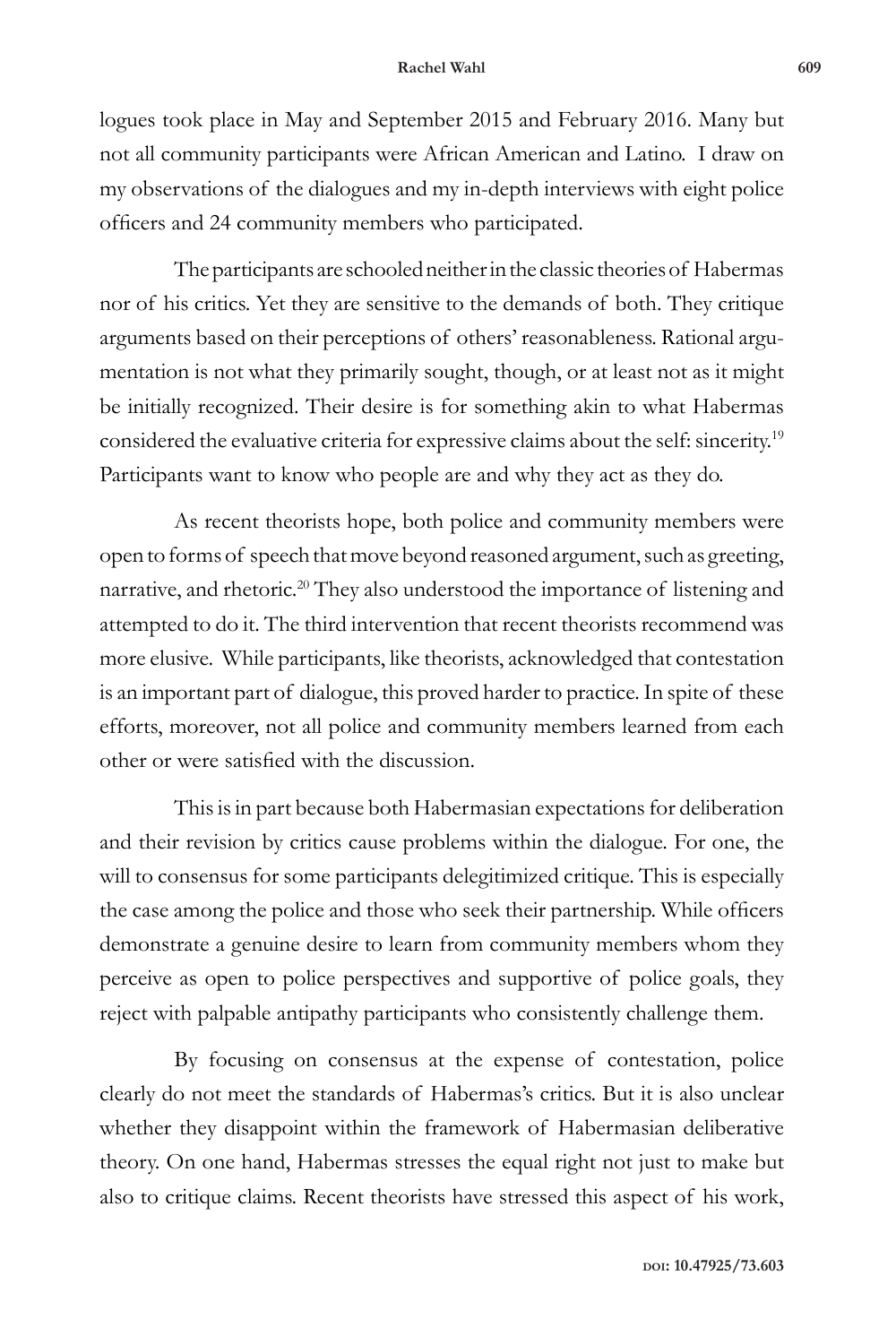logues took place in May and September 2015 and February 2016. Many but not all community participants were African American and Latino. I draw on my observations of the dialogues and my in-depth interviews with eight police officers and 24 community members who participated.

The participants are schooled neither in the classic theories of Habermas nor of his critics. Yet they are sensitive to the demands of both. They critique arguments based on their perceptions of others' reasonableness. Rational argumentation is not what they primarily sought, though, or at least not as it might be initially recognized. Their desire is for something akin to what Habermas considered the evaluative criteria for expressive claims about the self: sincerity.19 Participants want to know who people are and why they act as they do.

As recent theorists hope, both police and community members were open to forms of speech that move beyond reasoned argument, such as greeting, narrative, and rhetoric.20 They also understood the importance of listening and attempted to do it. The third intervention that recent theorists recommend was more elusive. While participants, like theorists, acknowledged that contestation is an important part of dialogue, this proved harder to practice. In spite of these efforts, moreover, not all police and community members learned from each other or were satisfied with the discussion.

This is in part because both Habermasian expectations for deliberation and their revision by critics cause problems within the dialogue. For one, the will to consensus for some participants delegitimized critique. This is especially the case among the police and those who seek their partnership. While officers demonstrate a genuine desire to learn from community members whom they perceive as open to police perspectives and supportive of police goals, they reject with palpable antipathy participants who consistently challenge them.

By focusing on consensus at the expense of contestation, police clearly do not meet the standards of Habermas's critics. But it is also unclear whether they disappoint within the framework of Habermasian deliberative theory. On one hand, Habermas stresses the equal right not just to make but also to critique claims. Recent theorists have stressed this aspect of his work,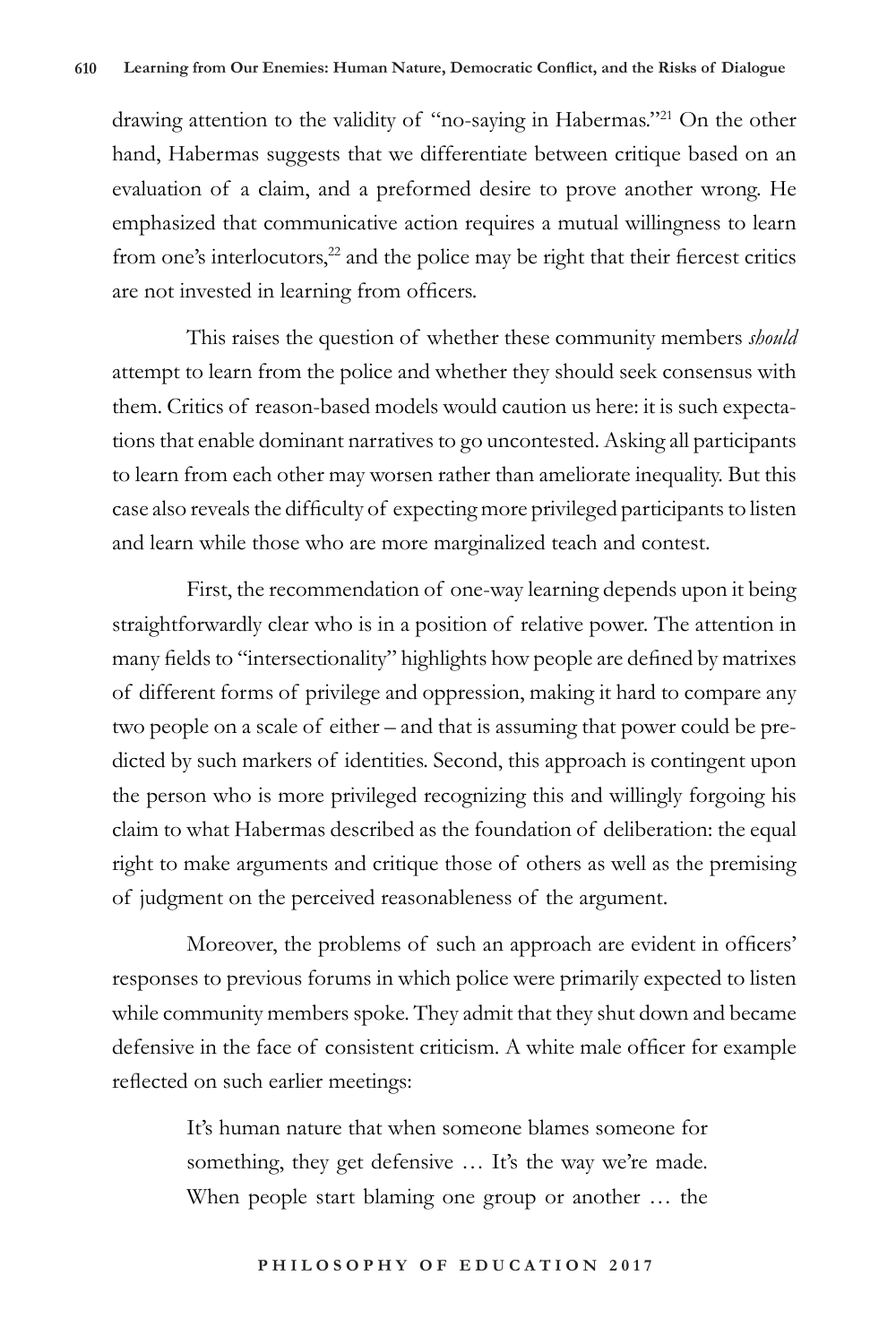drawing attention to the validity of "no-saying in Habermas."21 On the other hand, Habermas suggests that we differentiate between critique based on an evaluation of a claim, and a preformed desire to prove another wrong. He emphasized that communicative action requires a mutual willingness to learn from one's interlocutors, $22$  and the police may be right that their fiercest critics are not invested in learning from officers.

This raises the question of whether these community members *should*  attempt to learn from the police and whether they should seek consensus with them. Critics of reason-based models would caution us here: it is such expectations that enable dominant narratives to go uncontested. Asking all participants to learn from each other may worsen rather than ameliorate inequality. But this case also reveals the difficulty of expecting more privileged participants to listen and learn while those who are more marginalized teach and contest.

First, the recommendation of one-way learning depends upon it being straightforwardly clear who is in a position of relative power. The attention in many fields to "intersectionality" highlights how people are defined by matrixes of different forms of privilege and oppression, making it hard to compare any two people on a scale of either – and that is assuming that power could be predicted by such markers of identities. Second, this approach is contingent upon the person who is more privileged recognizing this and willingly forgoing his claim to what Habermas described as the foundation of deliberation: the equal right to make arguments and critique those of others as well as the premising of judgment on the perceived reasonableness of the argument.

Moreover, the problems of such an approach are evident in officers' responses to previous forums in which police were primarily expected to listen while community members spoke. They admit that they shut down and became defensive in the face of consistent criticism. A white male officer for example reflected on such earlier meetings:

> It's human nature that when someone blames someone for something, they get defensive … It's the way we're made. When people start blaming one group or another … the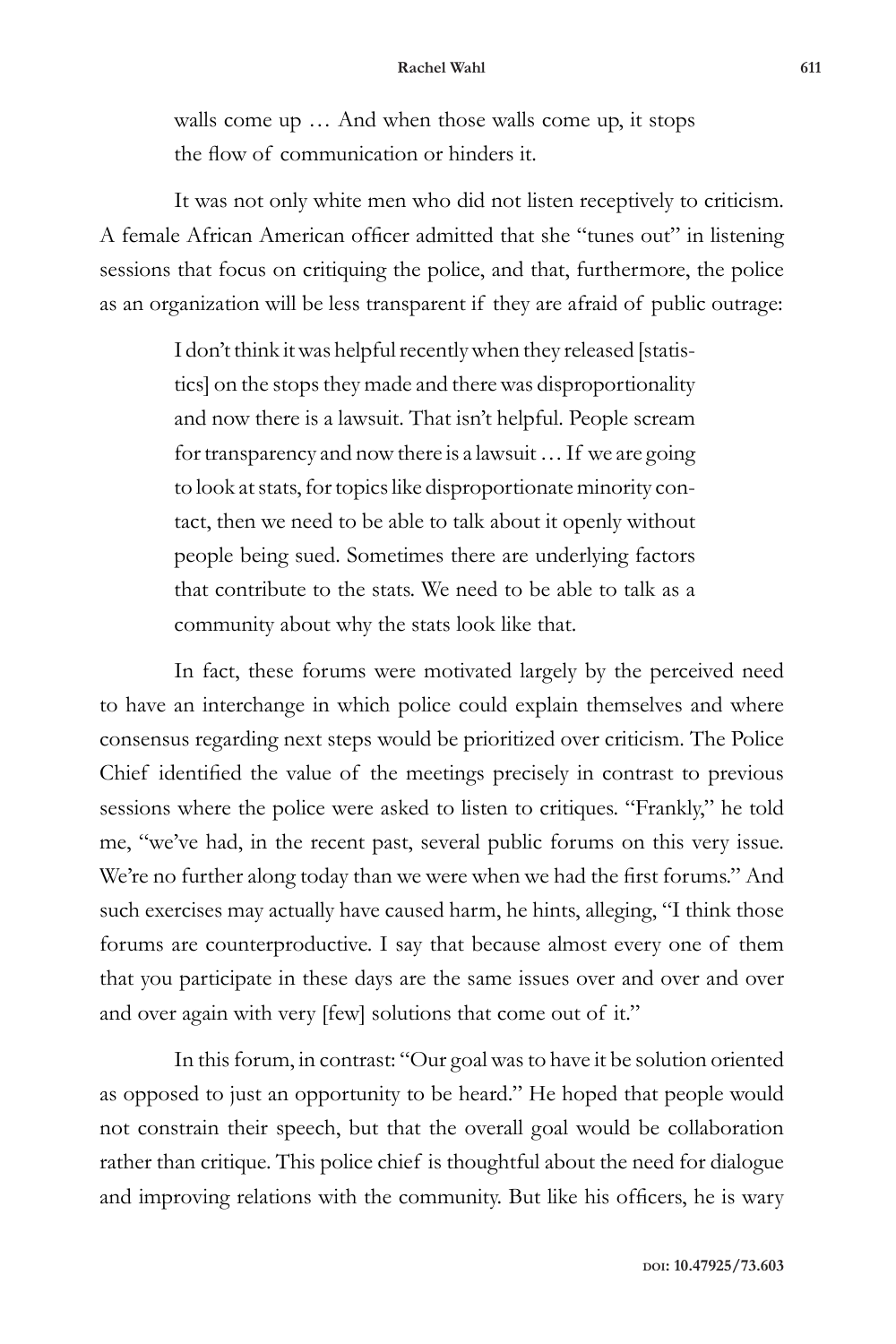walls come up … And when those walls come up, it stops the flow of communication or hinders it.

It was not only white men who did not listen receptively to criticism. A female African American officer admitted that she "tunes out" in listening sessions that focus on critiquing the police, and that, furthermore, the police as an organization will be less transparent if they are afraid of public outrage:

> I don't think it was helpful recently when they released [statistics] on the stops they made and there was disproportionality and now there is a lawsuit. That isn't helpful. People scream for transparency and now there is a lawsuit … If we are going to look at stats, for topics like disproportionate minority contact, then we need to be able to talk about it openly without people being sued. Sometimes there are underlying factors that contribute to the stats. We need to be able to talk as a community about why the stats look like that.

In fact, these forums were motivated largely by the perceived need to have an interchange in which police could explain themselves and where consensus regarding next steps would be prioritized over criticism. The Police Chief identified the value of the meetings precisely in contrast to previous sessions where the police were asked to listen to critiques. "Frankly," he told me, "we've had, in the recent past, several public forums on this very issue. We're no further along today than we were when we had the first forums." And such exercises may actually have caused harm, he hints, alleging, "I think those forums are counterproductive. I say that because almost every one of them that you participate in these days are the same issues over and over and over and over again with very [few] solutions that come out of it."

In this forum, in contrast: "Our goal was to have it be solution oriented as opposed to just an opportunity to be heard." He hoped that people would not constrain their speech, but that the overall goal would be collaboration rather than critique. This police chief is thoughtful about the need for dialogue and improving relations with the community. But like his officers, he is wary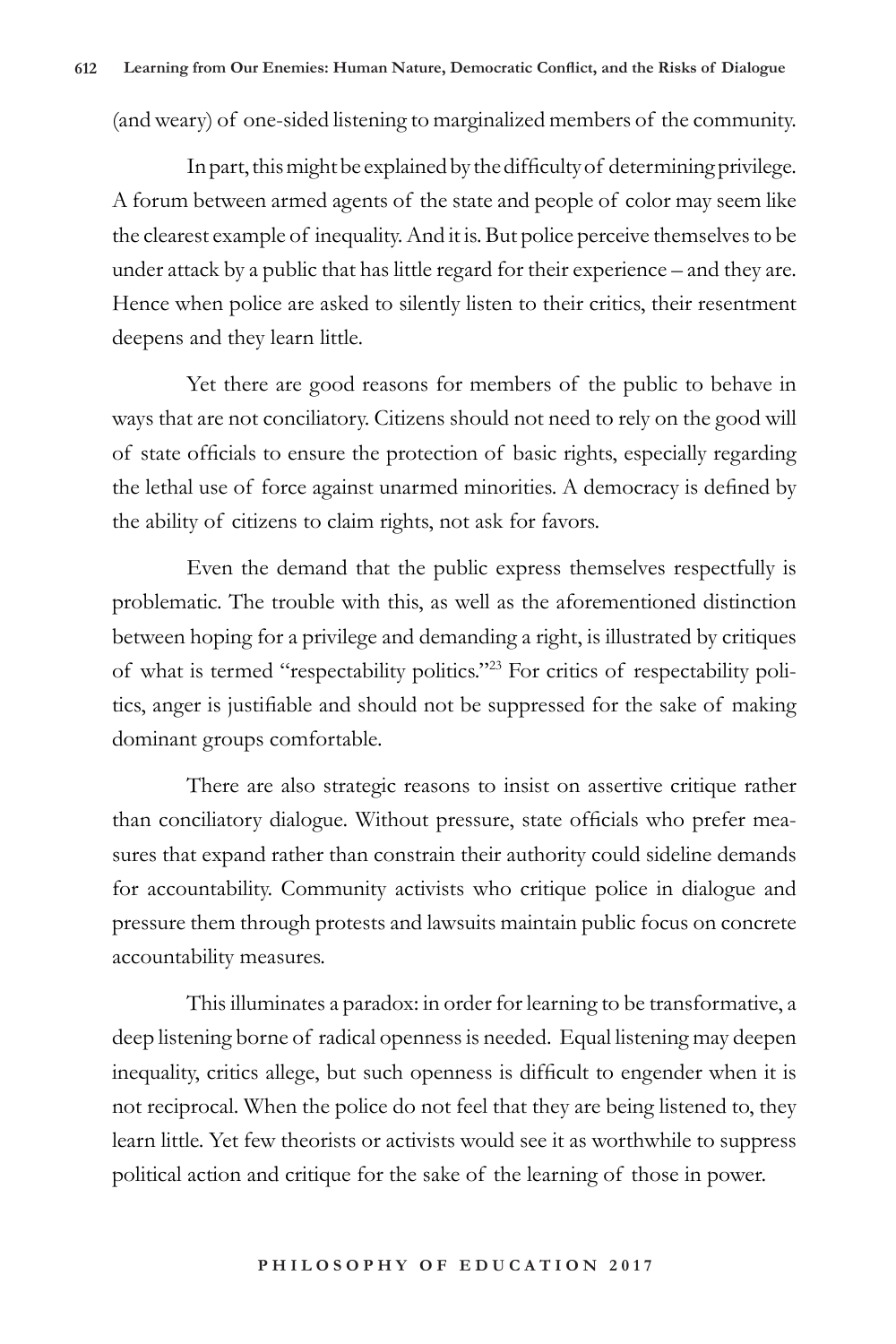(and weary) of one-sided listening to marginalized members of the community.

In part, this might be explained by the difficulty of determining privilege. A forum between armed agents of the state and people of color may seem like the clearest example of inequality. And it is. But police perceive themselves to be under attack by a public that has little regard for their experience – and they are. Hence when police are asked to silently listen to their critics, their resentment deepens and they learn little.

Yet there are good reasons for members of the public to behave in ways that are not conciliatory. Citizens should not need to rely on the good will of state officials to ensure the protection of basic rights, especially regarding the lethal use of force against unarmed minorities. A democracy is defined by the ability of citizens to claim rights, not ask for favors.

Even the demand that the public express themselves respectfully is problematic. The trouble with this, as well as the aforementioned distinction between hoping for a privilege and demanding a right, is illustrated by critiques of what is termed "respectability politics."23 For critics of respectability politics, anger is justifiable and should not be suppressed for the sake of making dominant groups comfortable.

There are also strategic reasons to insist on assertive critique rather than conciliatory dialogue. Without pressure, state officials who prefer measures that expand rather than constrain their authority could sideline demands for accountability. Community activists who critique police in dialogue and pressure them through protests and lawsuits maintain public focus on concrete accountability measures.

This illuminates a paradox: in order for learning to be transformative, a deep listening borne of radical openness is needed. Equal listening may deepen inequality, critics allege, but such openness is difficult to engender when it is not reciprocal. When the police do not feel that they are being listened to, they learn little. Yet few theorists or activists would see it as worthwhile to suppress political action and critique for the sake of the learning of those in power.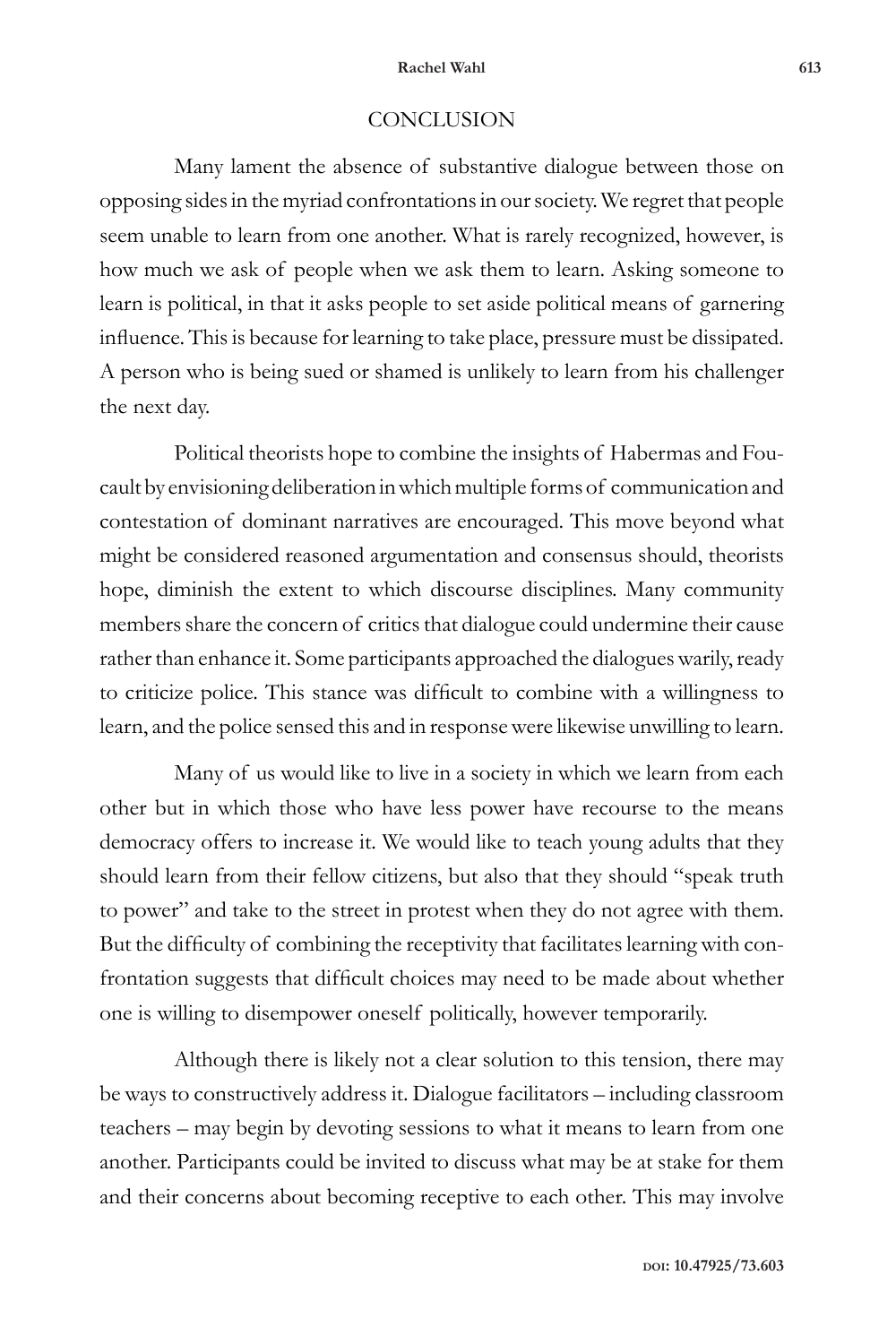#### **Rachel Wahl 613**

# **CONCLUSION**

Many lament the absence of substantive dialogue between those on opposing sides in the myriad confrontations in our society. We regret that people seem unable to learn from one another. What is rarely recognized, however, is how much we ask of people when we ask them to learn. Asking someone to learn is political, in that it asks people to set aside political means of garnering influence. This is because for learning to take place, pressure must be dissipated. A person who is being sued or shamed is unlikely to learn from his challenger the next day.

Political theorists hope to combine the insights of Habermas and Foucault by envisioning deliberation in which multiple forms of communication and contestation of dominant narratives are encouraged. This move beyond what might be considered reasoned argumentation and consensus should, theorists hope, diminish the extent to which discourse disciplines. Many community members share the concern of critics that dialogue could undermine their cause rather than enhance it. Some participants approached the dialogues warily, ready to criticize police. This stance was difficult to combine with a willingness to learn, and the police sensed this and in response were likewise unwilling to learn.

Many of us would like to live in a society in which we learn from each other but in which those who have less power have recourse to the means democracy offers to increase it. We would like to teach young adults that they should learn from their fellow citizens, but also that they should "speak truth to power" and take to the street in protest when they do not agree with them. But the difficulty of combining the receptivity that facilitates learning with confrontation suggests that difficult choices may need to be made about whether one is willing to disempower oneself politically, however temporarily.

Although there is likely not a clear solution to this tension, there may be ways to constructively address it. Dialogue facilitators – including classroom teachers – may begin by devoting sessions to what it means to learn from one another. Participants could be invited to discuss what may be at stake for them and their concerns about becoming receptive to each other. This may involve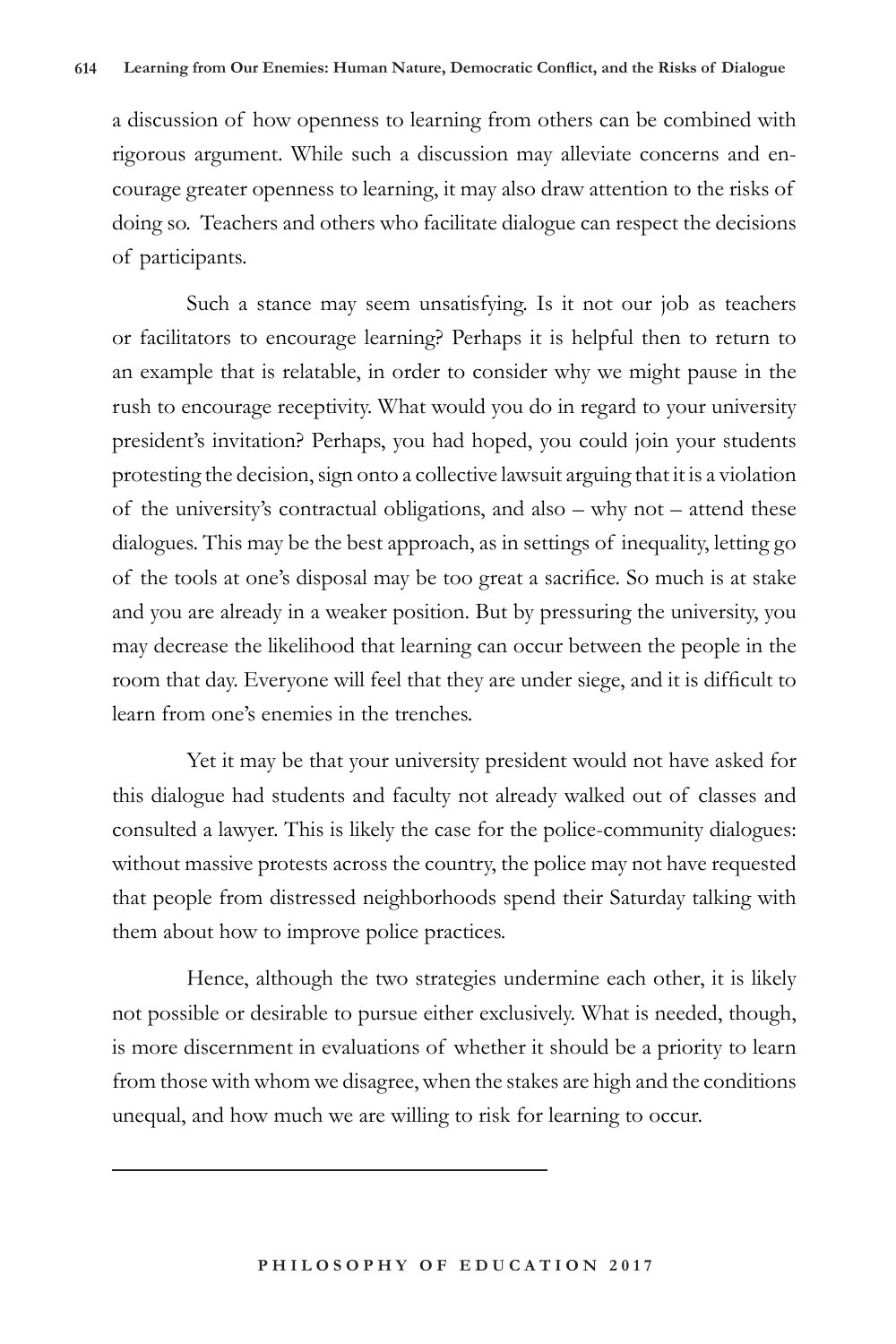a discussion of how openness to learning from others can be combined with rigorous argument. While such a discussion may alleviate concerns and encourage greater openness to learning, it may also draw attention to the risks of doing so. Teachers and others who facilitate dialogue can respect the decisions of participants.

Such a stance may seem unsatisfying. Is it not our job as teachers or facilitators to encourage learning? Perhaps it is helpful then to return to an example that is relatable, in order to consider why we might pause in the rush to encourage receptivity. What would you do in regard to your university president's invitation? Perhaps, you had hoped, you could join your students protesting the decision, sign onto a collective lawsuit arguing that it is a violation of the university's contractual obligations, and also – why not – attend these dialogues. This may be the best approach, as in settings of inequality, letting go of the tools at one's disposal may be too great a sacrifice. So much is at stake and you are already in a weaker position. But by pressuring the university, you may decrease the likelihood that learning can occur between the people in the room that day. Everyone will feel that they are under siege, and it is difficult to learn from one's enemies in the trenches.

Yet it may be that your university president would not have asked for this dialogue had students and faculty not already walked out of classes and consulted a lawyer. This is likely the case for the police-community dialogues: without massive protests across the country, the police may not have requested that people from distressed neighborhoods spend their Saturday talking with them about how to improve police practices.

Hence, although the two strategies undermine each other, it is likely not possible or desirable to pursue either exclusively. What is needed, though, is more discernment in evaluations of whether it should be a priority to learn from those with whom we disagree, when the stakes are high and the conditions unequal, and how much we are willing to risk for learning to occur.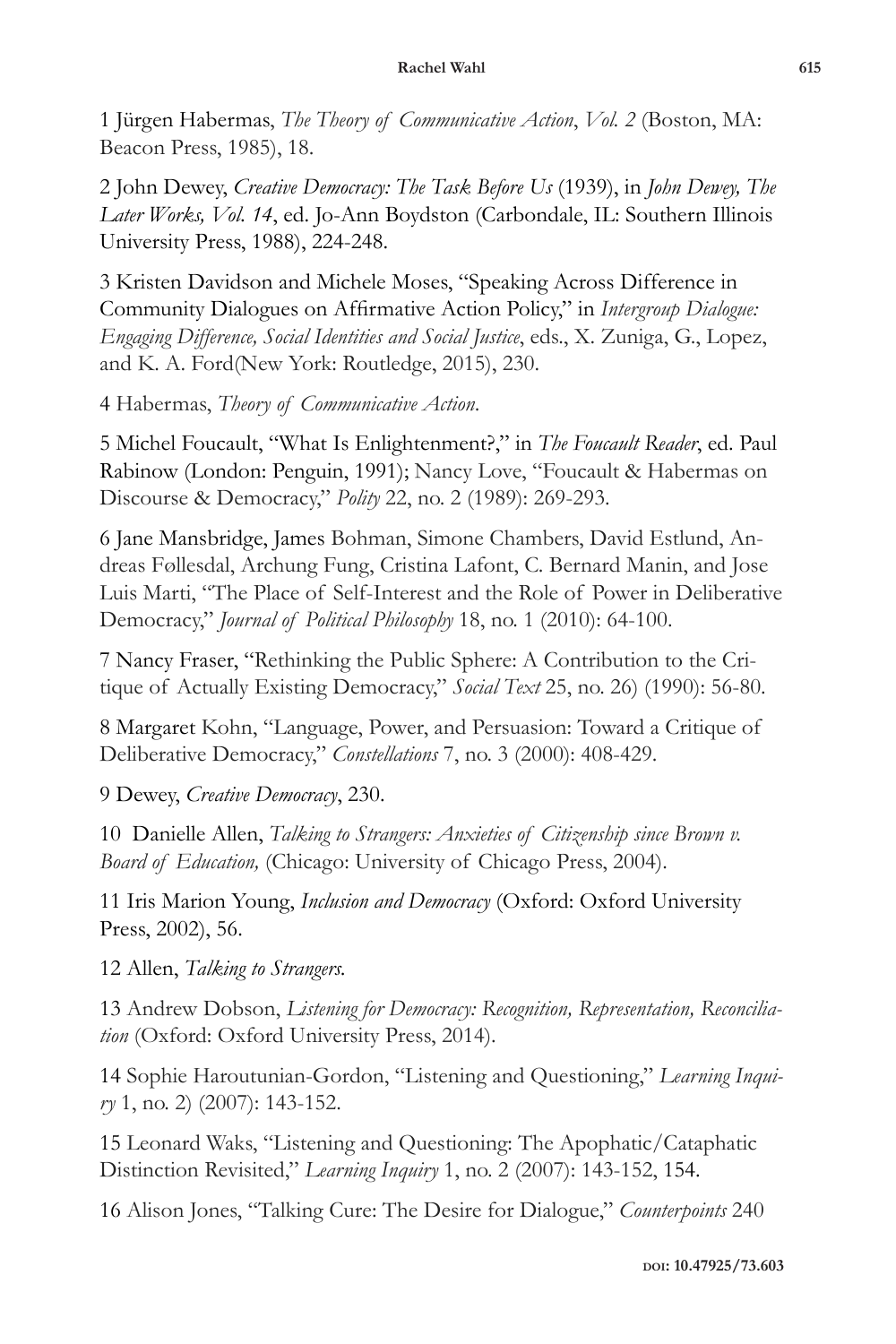1 Jürgen Habermas, *The Theory of Communicative Action*, *Vol. 2* (Boston, MA: Beacon Press, 1985), 18.

2 John Dewey, *Creative Democracy: The Task Before Us* (1939), in *John Dewey, The Later Works, Vol. 14*, ed. Jo-Ann Boydston (Carbondale, IL: Southern Illinois University Press, 1988), 224-248.

3 Kristen Davidson and Michele Moses, "Speaking Across Difference in Community Dialogues on Affirmative Action Policy," in *Intergroup Dialogue: Engaging Difference, Social Identities and Social Justice*, eds., X. Zuniga, G., Lopez, and K. A. Ford(New York: Routledge, 2015), 230.

4 Habermas, *Theory of Communicative Action*.

5 Michel Foucault, "What Is Enlightenment?," in *The Foucault Reader*, ed. Paul Rabinow (London: Penguin, 1991); Nancy Love, "Foucault & Habermas on Discourse & Democracy," *Polity* 22, no. 2 (1989): 269-293.

6 Jane Mansbridge, James Bohman, Simone Chambers, David Estlund, Andreas Føllesdal, Archung Fung, Cristina Lafont, C. Bernard Manin, and Jose Luis Marti, "The Place of Self-Interest and the Role of Power in Deliberative Democracy," *Journal of Political Philosophy* 18, no. 1 (2010): 64-100.

7 Nancy Fraser, "Rethinking the Public Sphere: A Contribution to the Critique of Actually Existing Democracy," *Social Text* 25, no. 26) (1990): 56-80.

8 Margaret Kohn, "Language, Power, and Persuasion: Toward a Critique of Deliberative Democracy," *Constellations* 7, no. 3 (2000): 408-429.

9 Dewey, *Creative Democracy*, 230.

10 Danielle Allen, *Talking to Strangers: Anxieties of Citizenship since Brown v. Board of Education,* (Chicago: University of Chicago Press, 2004).

11 Iris Marion Young, *Inclusion and Democracy* (Oxford: Oxford University Press, 2002), 56.

12 Allen, *Talking to Strangers.*

13 Andrew Dobson, *Listening for Democracy: Recognition, Representation, Reconciliation* (Oxford: Oxford University Press, 2014).

14 Sophie Haroutunian-Gordon, "Listening and Questioning," *Learning Inquiry* 1, no. 2) (2007): 143-152.

15 Leonard Waks, "Listening and Questioning: The Apophatic/Cataphatic Distinction Revisited," *Learning Inquiry* 1, no. 2 (2007): 143-152, 154.

16 Alison Jones, "Talking Cure: The Desire for Dialogue," *Counterpoints* 240